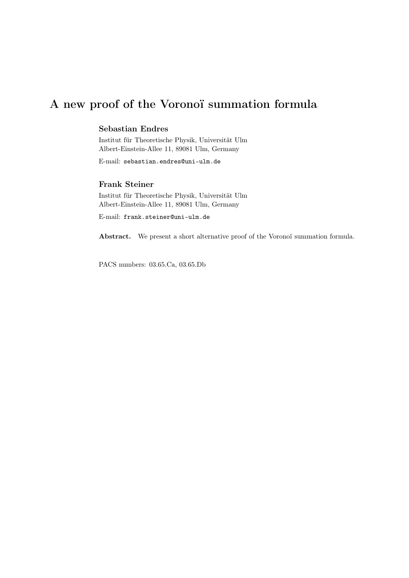# A new proof of the Voronoï summation formula

## Sebastian Endres

Institut für Theoretische Physik, Universität Ulm Albert-Einstein-Allee 11, 89081 Ulm, Germany

E-mail: sebastian.endres@uni-ulm.de

## Frank Steiner

Institut für Theoretische Physik, Universität Ulm Albert-Einstein-Allee 11, 89081 Ulm, Germany

E-mail: frank.steiner@uni-ulm.de

Abstract. We present a short alternative proof of the Voronoï summation formula.

PACS numbers: 03.65.Ca, 03.65.Db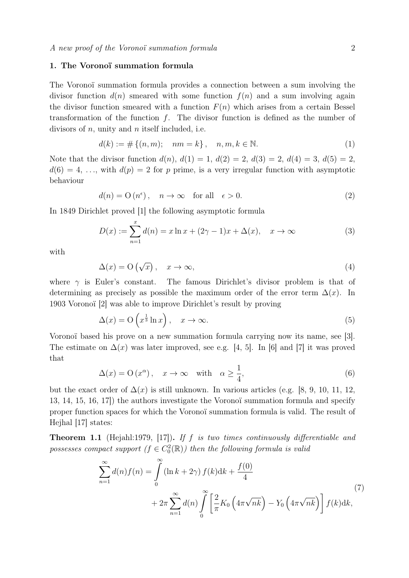## 1. The Voronoï summation formula

The Voronoï summation formula provides a connection between a sum involving the divisor function  $d(n)$  smeared with some function  $f(n)$  and a sum involving again the divisor function smeared with a function  $F(n)$  which arises from a certain Bessel transformation of the function  $f$ . The divisor function is defined as the number of divisors of n, unity and n itself included, i.e.

$$
d(k) := \# \{ (n, m); \quad nm = k \}, \quad n, m, k \in \mathbb{N}.
$$
 (1)

Note that the divisor function  $d(n)$ ,  $d(1) = 1$ ,  $d(2) = 2$ ,  $d(3) = 2$ ,  $d(4) = 3$ ,  $d(5) = 2$ ,  $d(6) = 4, \ldots$ , with  $d(p) = 2$  for p prime, is a very irregular function with asymptotic behaviour

$$
d(n) = O(n^{\epsilon}), \quad n \to \infty \quad \text{for all} \quad \epsilon > 0. \tag{2}
$$

In 1849 Dirichlet proved [1] the following asymptotic formula

$$
D(x) := \sum_{n=1}^{x} d(n) = x \ln x + (2\gamma - 1)x + \Delta(x), \quad x \to \infty
$$
 (3)

with

$$
\Delta(x) = O\left(\sqrt{x}\right), \quad x \to \infty,\tag{4}
$$

where  $\gamma$  is Euler's constant. The famous Dirichlet's divisor problem is that of determining as precisely as possible the maximum order of the error term  $\Delta(x)$ . In 1903 Voronoï [2] was able to improve Dirichlet's result by proving

$$
\Delta(x) = \mathcal{O}\left(x^{\frac{1}{3}}\ln x\right), \quad x \to \infty. \tag{5}
$$

Voronoï based his prove on a new summation formula carrying now its name, see [3]. The estimate on  $\Delta(x)$  was later improved, see e.g. [4, 5]. In [6] and [7] it was proved that

$$
\Delta(x) = O(x^{\alpha}), \quad x \to \infty \quad \text{with} \quad \alpha \ge \frac{1}{4}, \tag{6}
$$

but the exact order of  $\Delta(x)$  is still unknown. In various articles (e.g. [8, 9, 10, 11, 12, 13, 14, 15, 16, 17]) the authors investigate the Voronoï summation formula and specify proper function spaces for which the Voronoï summation formula is valid. The result of Hejhal [17] states:

**Theorem 1.1** (Hejahl:1979, [17]). If f is two times continuously differentiable and possesses compact support  $(f \in C_0^2(\mathbb{R}))$  then the following formula is valid

$$
\sum_{n=1}^{\infty} d(n) f(n) = \int_{0}^{\infty} (\ln k + 2\gamma) f(k) dk + \frac{f(0)}{4}
$$
  
+ 
$$
2\pi \sum_{n=1}^{\infty} d(n) \int_{0}^{\infty} \left[ \frac{2}{\pi} K_0 \left( 4\pi \sqrt{nk} \right) - Y_0 \left( 4\pi \sqrt{nk} \right) \right] f(k) dk,
$$
 (7)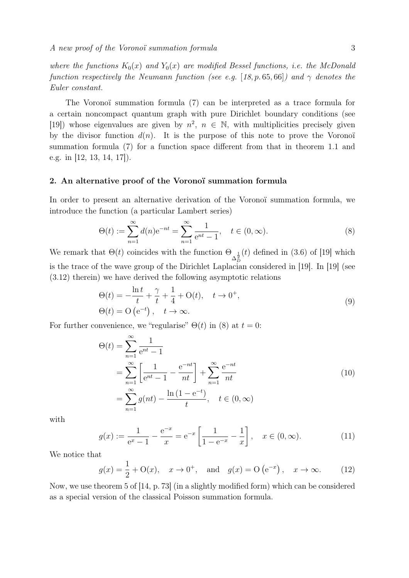where the functions  $K_0(x)$  and  $Y_0(x)$  are modified Bessel functions, i.e. the McDonald function respectively the Neumann function (see e.g. [18, p. 65, 66]) and  $\gamma$  denotes the Euler constant.

The Voronoï summation formula (7) can be interpreted as a trace formula for a certain noncompact quantum graph with pure Dirichlet boundary conditions (see [19]) whose eigenvalues are given by  $n^2$ ,  $n \in \mathbb{N}$ , with multiplicities precisely given by the divisor function  $d(n)$ . It is the purpose of this note to prove the Voronoï summation formula (7) for a function space different from that in theorem 1.1 and e.g. in [12, 13, 14, 17]).

#### 2. An alternative proof of the Voronoï summation formula

In order to present an alternative derivation of the Voronoï summation formula, we introduce the function (a particular Lambert series)

$$
\Theta(t) := \sum_{n=1}^{\infty} d(n) e^{-nt} = \sum_{n=1}^{\infty} \frac{1}{e^{nt} - 1}, \quad t \in (0, \infty).
$$
 (8)

We remark that  $\Theta(t)$  coincides with the function  $\Theta_{\Delta_{\overline{D}}^{\frac{1}{2}}}(t)$  defined in (3.6) of [19] which is the trace of the wave group of the Dirichlet Laplacian considered in [19]. In [19] (see (3.12) therein) we have derived the following asymptotic relations

$$
\Theta(t) = -\frac{\ln t}{t} + \frac{\gamma}{t} + \frac{1}{4} + \mathcal{O}(t), \quad t \to 0^+,
$$
  

$$
\Theta(t) = \mathcal{O}\left(e^{-t}\right), \quad t \to \infty.
$$
 (9)

For further convenience, we "regularise"  $\Theta(t)$  in (8) at  $t=0$ :

$$
\Theta(t) = \sum_{n=1}^{\infty} \frac{1}{e^{nt} - 1}
$$
  
= 
$$
\sum_{n=1}^{\infty} \left[ \frac{1}{e^{nt} - 1} - \frac{e^{-nt}}{nt} \right] + \sum_{n=1}^{\infty} \frac{e^{-nt}}{nt}
$$
  
= 
$$
\sum_{n=1}^{\infty} g(nt) - \frac{\ln(1 - e^{-t})}{t}, \quad t \in (0, \infty)
$$
 (10)

with

$$
g(x) := \frac{1}{e^x - 1} - \frac{e^{-x}}{x} = e^{-x} \left[ \frac{1}{1 - e^{-x}} - \frac{1}{x} \right], \quad x \in (0, \infty).
$$
 (11)

We notice that

$$
g(x) = \frac{1}{2} + O(x), \quad x \to 0^+, \text{ and } g(x) = O(e^{-x}), \quad x \to \infty.
$$
 (12)

Now, we use theorem 5 of [14, p. 73] (in a slightly modified form) which can be considered as a special version of the classical Poisson summation formula.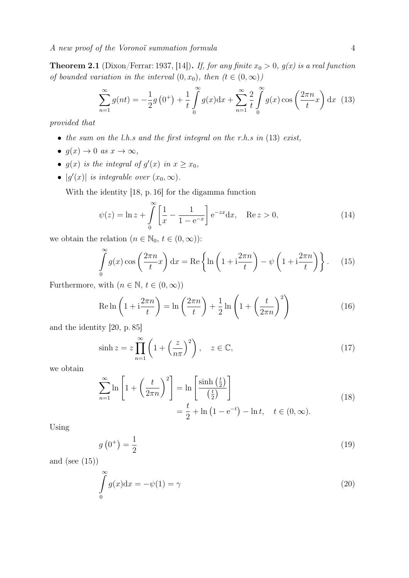**Theorem 2.1** (Dixon/Ferrar: 1937, [14]). If, for any finite  $x_0 > 0$ ,  $g(x)$  is a real function of bounded variation in the interval  $(0, x_0)$ , then  $(t \in (0, \infty))$ 

$$
\sum_{n=1}^{\infty} g(nt) = -\frac{1}{2}g(0^+) + \frac{1}{t} \int_{0}^{\infty} g(x) dx + \sum_{n=1}^{\infty} \frac{2}{t} \int_{0}^{\infty} g(x) \cos\left(\frac{2\pi n}{t}x\right) dx
$$
 (13)

provided that

- the sum on the l.h.s and the first integral on the r.h.s in  $(13)$  exist,
- $g(x) \to 0$  as  $x \to \infty$ ,
- $g(x)$  is the integral of  $g'(x)$  in  $x \ge x_0$ ,
- $|g'(x)|$  is integrable over  $(x_0, \infty)$ .

With the identity [18, p. 16] for the digamma function

$$
\psi(z) = \ln z + \int_{0}^{\infty} \left[ \frac{1}{x} - \frac{1}{1 - e^{-x}} \right] e^{-zx} dx, \quad \text{Re } z > 0,
$$
\n(14)

we obtain the relation  $(n \in \mathbb{N}_0, t \in (0, \infty))$ :

$$
\int_{0}^{\infty} g(x) \cos\left(\frac{2\pi n}{t}x\right) dx = \text{Re}\left\{\ln\left(1 + i\frac{2\pi n}{t}\right) - \psi\left(1 + i\frac{2\pi n}{t}\right)\right\}.
$$
 (15)

Furthermore, with  $(n \in \mathbb{N}, t \in (0, \infty))$ 

$$
\operatorname{Re}\ln\left(1+i\frac{2\pi n}{t}\right) = \ln\left(\frac{2\pi n}{t}\right) + \frac{1}{2}\ln\left(1+\left(\frac{t}{2\pi n}\right)^2\right) \tag{16}
$$

and the identity [20, p. 85]

$$
\sinh z = z \prod_{n=1}^{\infty} \left( 1 + \left( \frac{z}{n\pi} \right)^2 \right), \quad z \in \mathbb{C}, \tag{17}
$$

we obtain

$$
\sum_{n=1}^{\infty} \ln\left[1 + \left(\frac{t}{2\pi n}\right)^2\right] = \ln\left[\frac{\sinh\left(\frac{t}{2}\right)}{\left(\frac{t}{2}\right)}\right]
$$
\n
$$
= \frac{t}{2} + \ln\left(1 - e^{-t}\right) - \ln t, \quad t \in (0, \infty).
$$
\n(18)

Using

$$
g\left(0^{+}\right) = \frac{1}{2} \tag{19}
$$

and (see  $(15)$ )

$$
\int_{0}^{\infty} g(x)dx = -\psi(1) = \gamma
$$
\n(20)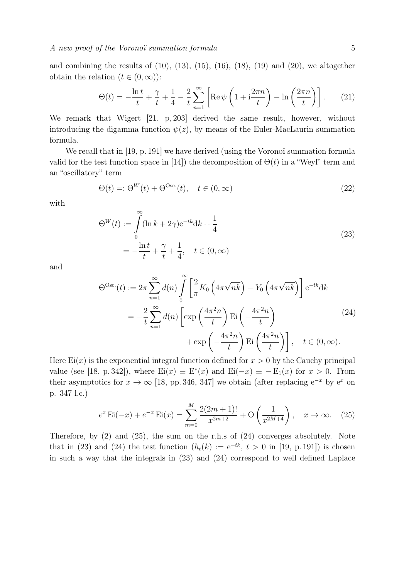and combining the results of  $(10)$ ,  $(13)$ ,  $(15)$ ,  $(16)$ ,  $(18)$ ,  $(19)$  and  $(20)$ , we altogether obtain the relation  $(t \in (0, \infty))$ :

$$
\Theta(t) = -\frac{\ln t}{t} + \frac{\gamma}{t} + \frac{1}{4} - \frac{2}{t} \sum_{n=1}^{\infty} \left[ \text{Re}\,\psi\left(1 + i\frac{2\pi n}{t}\right) - \ln\left(\frac{2\pi n}{t}\right) \right].\tag{21}
$$

We remark that Wigert [21, p, 203] derived the same result, however, without introducing the digamma function  $\psi(z)$ , by means of the Euler-MacLaurin summation formula.

We recall that in [19, p. 191] we have derived (using the Voronoï summation formula valid for the test function space in [14]) the decomposition of  $\Theta(t)$  in a "Weyl" term and an "oscillatory" term

$$
\Theta(t) =: \Theta^W(t) + \Theta^{\text{Osc.}}(t), \quad t \in (0, \infty)
$$
\n(22)

with

$$
\Theta^W(t) := \int_0^\infty (\ln k + 2\gamma) e^{-tk} dk + \frac{1}{4}
$$
  
=  $-\frac{\ln t}{t} + \frac{\gamma}{t} + \frac{1}{4}, \quad t \in (0, \infty)$  (23)

and

$$
\Theta^{\rm Osc.}(t) := 2\pi \sum_{n=1}^{\infty} d(n) \int_{0}^{\infty} \left[ \frac{2}{\pi} K_0 \left( 4\pi \sqrt{n k} \right) - Y_0 \left( 4\pi \sqrt{n k} \right) \right] e^{-t k} dk
$$

$$
= -\frac{2}{t} \sum_{n=1}^{\infty} d(n) \left[ \exp\left( \frac{4\pi^2 n}{t} \right) \mathrm{Ei} \left( -\frac{4\pi^2 n}{t} \right) + \exp\left( -\frac{4\pi^2 n}{t} \right) \mathrm{Ei} \left( \frac{4\pi^2 n}{t} \right) \right], \quad t \in (0, \infty).
$$
 (24)

Here  $Ei(x)$  is the exponential integral function defined for  $x > 0$  by the Cauchy principal value (see [18, p. 342]), where  $Ei(x) \equiv E^{*}(x)$  and  $Ei(-x) \equiv -E_{1}(x)$  for  $x > 0$ . From their asymptotics for  $x \to \infty$  [18, pp. 346, 347] we obtain (after replacing  $e^{-x}$  by  $e^x$  on p. 347 l.c.)

$$
e^x \operatorname{Ei}(-x) + e^{-x} \operatorname{Ei}(x) = \sum_{m=0}^{M} \frac{2(2m+1)!}{x^{2m+2}} + \mathcal{O}\left(\frac{1}{x^{2M+4}}\right), \quad x \to \infty. \tag{25}
$$

Therefore, by (2) and (25), the sum on the r.h.s of (24) converges absolutely. Note that in (23) and (24) the test function  $(h_t(k)) := e^{-tk}$ ,  $t > 0$  in [19, p. 191]) is chosen in such a way that the integrals in (23) and (24) correspond to well defined Laplace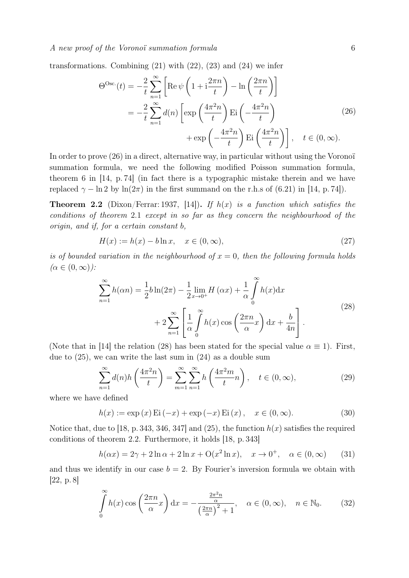transformations. Combining  $(21)$  with  $(22)$ ,  $(23)$  and  $(24)$  we infer

$$
\Theta^{\rm Osc.}(t) = -\frac{2}{t} \sum_{n=1}^{\infty} \left[ \text{Re} \,\psi \left( 1 + i \frac{2\pi n}{t} \right) - \ln \left( \frac{2\pi n}{t} \right) \right]
$$

$$
= -\frac{2}{t} \sum_{n=1}^{\infty} d(n) \left[ \exp \left( \frac{4\pi^2 n}{t} \right) \text{Ei} \left( -\frac{4\pi^2 n}{t} \right) + \exp \left( -\frac{4\pi^2 n}{t} \right) \text{Ei} \left( \frac{4\pi^2 n}{t} \right) \right], \quad t \in (0, \infty).
$$
 (26)

In order to prove (26) in a direct, alternative way, in particular without using the Voronoï summation formula, we need the following modified Poisson summation formula, theorem 6 in  $[14, p. 74]$  (in fact there is a typographic mistake therein and we have replaced  $\gamma - \ln 2$  by  $\ln(2\pi)$  in the first summand on the r.h.s of (6.21) in [14, p. 74]).

**Theorem 2.2** (Dixon/Ferrar: 1937, [14]). If  $h(x)$  is a function which satisfies the conditions of theorem 2.1 except in so far as they concern the neighbourhood of the origin, and if, for a certain constant b,

$$
H(x) := h(x) - b \ln x, \quad x \in (0, \infty),
$$
\n(27)

is of bounded variation in the neighbourhood of  $x = 0$ , then the following formula holds  $(\alpha \in (0,\infty))$ :

$$
\sum_{n=1}^{\infty} h(\alpha n) = \frac{1}{2} b \ln(2\pi) - \frac{1}{2} \lim_{x \to 0^+} H(\alpha x) + \frac{1}{\alpha} \int_0^{\infty} h(x) dx
$$

$$
+ 2 \sum_{n=1}^{\infty} \left[ \frac{1}{\alpha} \int_0^{\infty} h(x) \cos\left(\frac{2\pi n}{\alpha} x\right) dx + \frac{b}{4n} \right].
$$
\n(28)

(Note that in [14] the relation (28) has been stated for the special value  $\alpha \equiv 1$ ). First, due to (25), we can write the last sum in (24) as a double sum

$$
\sum_{n=1}^{\infty} d(n)h\left(\frac{4\pi^2 n}{t}\right) = \sum_{m=1}^{\infty} \sum_{n=1}^{\infty} h\left(\frac{4\pi^2 m}{t}n\right), \quad t \in (0, \infty),
$$
\n(29)

where we have defined

$$
h(x) := \exp(x) \operatorname{Ei}(-x) + \exp(-x) \operatorname{Ei}(x), \quad x \in (0, \infty).
$$
 (30)

Notice that, due to [18, p. 343, 346, 347] and (25), the function  $h(x)$  satisfies the required conditions of theorem 2.2. Furthermore, it holds [18, p. 343]

$$
h(\alpha x) = 2\gamma + 2\ln \alpha + 2\ln x + O(x^2 \ln x), \quad x \to 0^+, \quad \alpha \in (0, \infty)
$$
 (31)

and thus we identify in our case  $b = 2$ . By Fourier's inversion formula we obtain with [22, p. 8]

$$
\int_{0}^{\infty} h(x) \cos\left(\frac{2\pi n}{\alpha}x\right) dx = -\frac{\frac{2\pi^2 n}{\alpha}}{\left(\frac{2\pi n}{\alpha}\right)^2 + 1}, \quad \alpha \in (0, \infty), \quad n \in \mathbb{N}_0.
$$
 (32)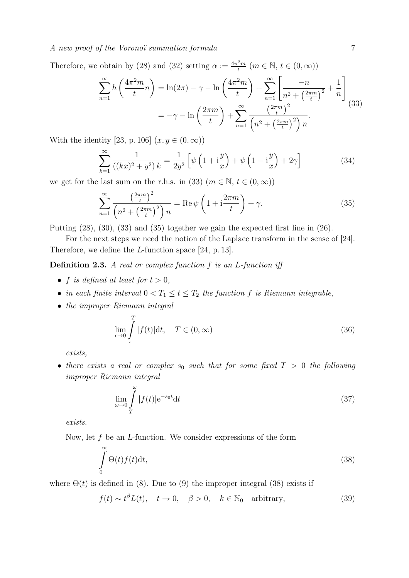A new proof of the Voronoï summation formula 7

Therefore, we obtain by (28) and (32) setting  $\alpha := \frac{4\pi^2 m}{t}$  $\frac{2m}{t}$   $(m \in \mathbb{N}, t \in (0, \infty))$ 

$$
\sum_{n=1}^{\infty} h\left(\frac{4\pi^2 m}{t}n\right) = \ln(2\pi) - \gamma - \ln\left(\frac{4\pi^2 m}{t}\right) + \sum_{n=1}^{\infty} \left[\frac{-n}{n^2 + \left(\frac{2\pi m}{t}\right)^2} + \frac{1}{n}\right] = -\gamma - \ln\left(\frac{2\pi m}{t}\right) + \sum_{n=1}^{\infty} \frac{\left(\frac{2\pi m}{t}\right)^2}{\left(n^2 + \left(\frac{2\pi m}{t}\right)^2\right)n}.
$$
\n(33)

With the identity [23, p. 106]  $(x, y \in (0, \infty))$ 

$$
\sum_{k=1}^{\infty} \frac{1}{((kx)^2 + y^2) k} = \frac{1}{2y^2} \left[ \psi \left( 1 + i\frac{y}{x} \right) + \psi \left( 1 - i\frac{y}{x} \right) + 2\gamma \right]
$$
(34)

we get for the last sum on the r.h.s. in (33)  $(m \in \mathbb{N}, t \in (0, \infty))$ 

$$
\sum_{n=1}^{\infty} \frac{\left(\frac{2\pi m}{t}\right)^2}{\left(n^2 + \left(\frac{2\pi m}{t}\right)^2\right)n} = \text{Re}\,\psi\left(1 + i\frac{2\pi m}{t}\right) + \gamma.
$$
\n(35)

Putting (28), (30), (33) and (35) together we gain the expected first line in (26).

For the next steps we need the notion of the Laplace transform in the sense of [24]. Therefore, we define the L-function space [24, p. 13].

**Definition 2.3.** A real or complex function  $f$  is an  $L$ -function iff

- f is defined at least for  $t > 0$ ,
- in each finite interval  $0 < T_1 \le t \le T_2$  the function f is Riemann integrable,
- the improper Riemann integral

$$
\lim_{\epsilon \to 0} \int_{\epsilon}^{T} |f(t)| \mathrm{d}t, \quad T \in (0, \infty)
$$
\n(36)

exists,

• there exists a real or complex  $s_0$  such that for some fixed  $T > 0$  the following improper Riemann integral

$$
\lim_{\omega \to 0} \int_{T}^{\omega} |f(t)| e^{-s_0 t} dt \tag{37}
$$

exists.

Now, let f be an L-function. We consider expressions of the form

$$
\int_{0}^{\infty} \Theta(t) f(t) \mathrm{d}t,\tag{38}
$$

where  $\Theta(t)$  is defined in (8). Due to (9) the improper integral (38) exists if

$$
f(t) \sim t^{\beta} L(t), \quad t \to 0, \quad \beta > 0, \quad k \in \mathbb{N}_0 \quad \text{arbitrary}, \tag{39}
$$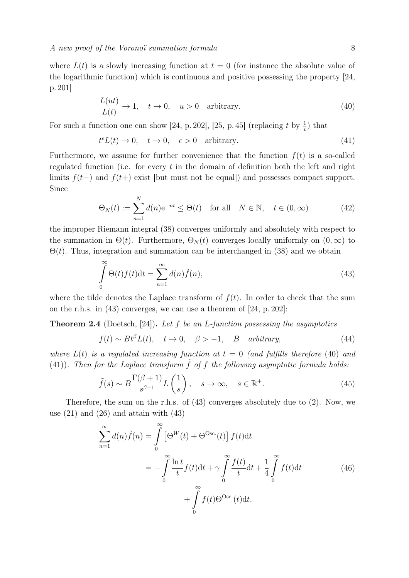where  $L(t)$  is a slowly increasing function at  $t = 0$  (for instance the absolute value of the logarithmic function) which is continuous and positive possessing the property [24, p. 201]

$$
\frac{L(ut)}{L(t)} \to 1, \quad t \to 0, \quad u > 0 \quad \text{arbitrary.} \tag{40}
$$

For such a function one can show [24, p. 202], [25, p. 45] (replacing t by  $\frac{1}{t}$ ) that

$$
t^{\epsilon}L(t) \to 0, \quad t \to 0, \quad \epsilon > 0 \quad \text{arbitrary.} \tag{41}
$$

Furthermore, we assume for further convenience that the function  $f(t)$  is a so-called regulated function (i.e. for every  $t$  in the domain of definition both the left and right limits  $f(t-)$  and  $f(t+)$  exist [but must not be equal]) and possesses compact support. Since

$$
\Theta_N(t) := \sum_{n=1}^N d(n) e^{-nt} \le \Theta(t) \quad \text{for all} \quad N \in \mathbb{N}, \quad t \in (0, \infty)
$$
 (42)

the improper Riemann integral (38) converges uniformly and absolutely with respect to the summation in  $\Theta(t)$ . Furthermore,  $\Theta_N(t)$  converges locally uniformly on  $(0,\infty)$  to  $\Theta(t)$ . Thus, integration and summation can be interchanged in (38) and we obtain

$$
\int_{0}^{\infty} \Theta(t) f(t) dt = \sum_{n=1}^{\infty} d(n) \tilde{f}(n),
$$
\n(43)

where the tilde denotes the Laplace transform of  $f(t)$ . In order to check that the sum on the r.h.s. in (43) converges, we can use a theorem of [24, p. 202]:

**Theorem 2.4** (Doetsch, [24]). Let f be an L-function possessing the asymptotics

$$
f(t) \sim Bt^{\beta}L(t), \quad t \to 0, \quad \beta > -1, \quad B \quad arbitrary,
$$
\n
$$
(44)
$$

where  $L(t)$  is a regulated increasing function at  $t = 0$  (and fulfills therefore (40) and (41)). Then for the Laplace transform  $\tilde{f}$  of f the following asymptotic formula holds:

$$
\tilde{f}(s) \sim B \frac{\Gamma(\beta + 1)}{s^{\beta + 1}} L\left(\frac{1}{s}\right), \quad s \to \infty, \quad s \in \mathbb{R}^+.
$$
\n(45)

Therefore, the sum on the r.h.s. of (43) converges absolutely due to (2). Now, we use  $(21)$  and  $(26)$  and attain with  $(43)$ 

$$
\sum_{n=1}^{\infty} d(n)\tilde{f}(n) = \int_{0}^{\infty} \left[\Theta^{W}(t) + \Theta^{Osc.}(t)\right] f(t)dt
$$
  

$$
= -\int_{0}^{\infty} \frac{\ln t}{t} f(t) dt + \gamma \int_{0}^{\infty} \frac{f(t)}{t} dt + \frac{1}{4} \int_{0}^{\infty} f(t) dt
$$
(46)  

$$
+ \int_{0}^{\infty} f(t) \Theta^{Osc.}(t) dt.
$$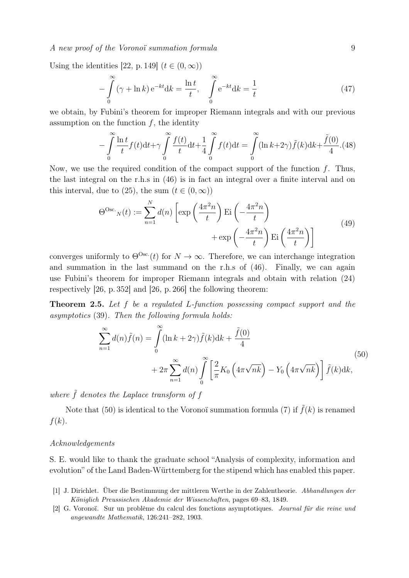#### A new proof of the Voronoï summation formula 9

Using the identities [22, p. 149]  $(t \in (0, \infty))$ 

$$
-\int_{0}^{\infty} (\gamma + \ln k) e^{-kt} dk = \frac{\ln t}{t}, \quad \int_{0}^{\infty} e^{-kt} dk = \frac{1}{t}
$$
 (47)

we obtain, by Fubini's theorem for improper Riemann integrals and with our previous assumption on the function  $f$ , the identity

$$
-\int_{0}^{\infty} \frac{\ln t}{t} f(t) dt + \gamma \int_{0}^{\infty} \frac{f(t)}{t} dt + \frac{1}{4} \int_{0}^{\infty} f(t) dt = \int_{0}^{\infty} (\ln k + 2\gamma) \tilde{f}(k) dk + \frac{\tilde{f}(0)}{4}.
$$
(48)

Now, we use the required condition of the compact support of the function  $f$ . Thus, the last integral on the r.h.s in (46) is in fact an integral over a finite interval and on this interval, due to (25), the sum  $(t \in (0, \infty))$ 

$$
\Theta^{\rm Osc.}_{N}(t) := \sum_{n=1}^{N} d(n) \left[ \exp\left(\frac{4\pi^2 n}{t}\right) \mathrm{Ei}\left(-\frac{4\pi^2 n}{t}\right) + \exp\left(-\frac{4\pi^2 n}{t}\right) \mathrm{Ei}\left(\frac{4\pi^2 n}{t}\right) \right]
$$
(49)

converges uniformly to  $\Theta^{\text{Osc}}(t)$  for  $N \to \infty$ . Therefore, we can interchange integration and summation in the last summand on the r.h.s of (46). Finally, we can again use Fubini's theorem for improper Riemann integrals and obtain with relation (24) respectively [26, p. 352] and [26, p. 266] the following theorem:

Theorem 2.5. Let f be a regulated L-function possessing compact support and the asymptotics (39). Then the following formula holds:

$$
\sum_{n=1}^{\infty} d(n)\tilde{f}(n) = \int_{0}^{\infty} (\ln k + 2\gamma)\tilde{f}(k)dk + \frac{\tilde{f}(0)}{4}
$$
  
+ 
$$
2\pi \sum_{n=1}^{\infty} d(n) \int_{0}^{\infty} \left[ \frac{2}{\pi} K_0 \left( 4\pi \sqrt{nk} \right) - Y_0 \left( 4\pi \sqrt{nk} \right) \right] \tilde{f}(k)dk,
$$
 (50)

where  $\tilde{f}$  denotes the Laplace transform of f

Note that (50) is identical to the Voronoï summation formula (7) if  $\tilde{f}(k)$  is renamed  $f(k)$ .

#### Acknowledgements

S. E. would like to thank the graduate school "Analysis of complexity, information and evolution" of the Land Baden-Württemberg for the stipend which has enabled this paper.

- [1] J. Dirichlet. Über die Bestimmung der mittleren Werthe in der Zahlentheorie. Abhandlungen der Königlich Preussischen Akademie der Wissenchaften, pages 69–83, 1849.
- [2] G. Voronoï. Sur un problème du calcul des fonctions asymptotiques. Journal für die reine und angewandte Mathematik, 126:241–282, 1903.